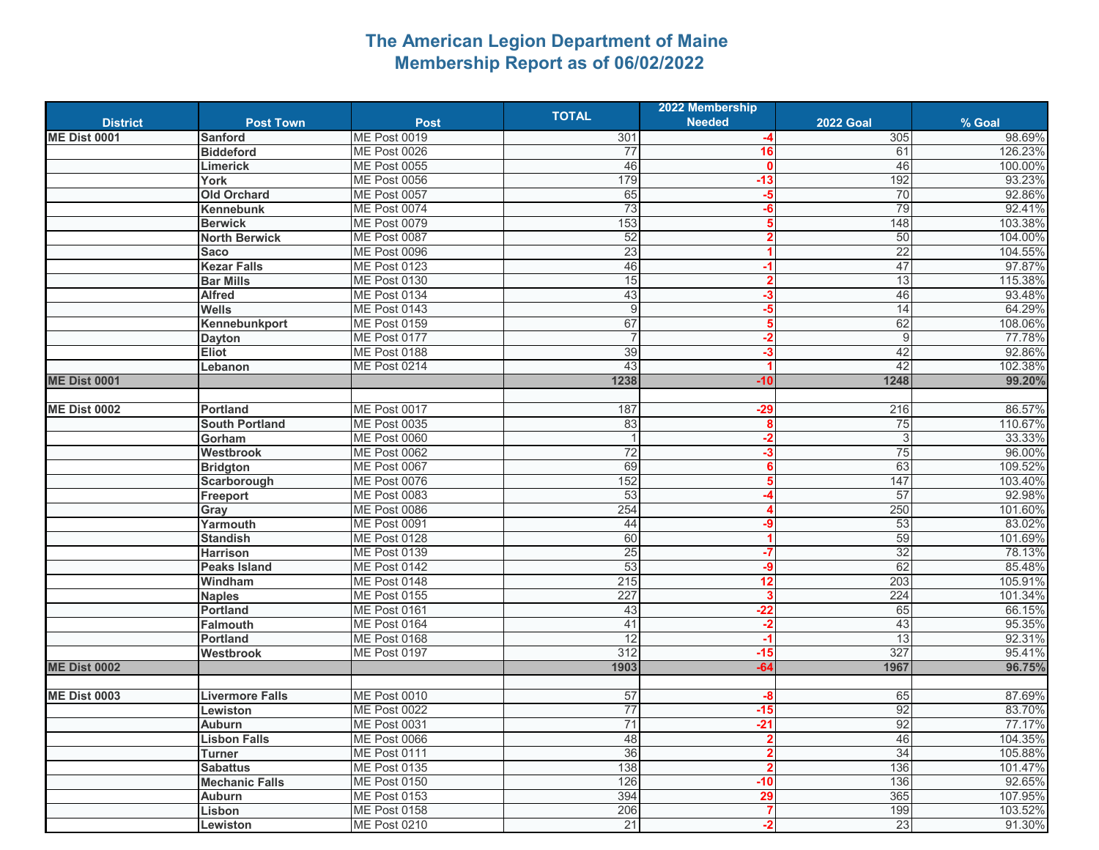## **The American Legion Department of Maine Membership Report as of 06/02/2022**

|                     |                        |                     |              | 2022 Membership |                  |         |
|---------------------|------------------------|---------------------|--------------|-----------------|------------------|---------|
| <b>District</b>     | <b>Post Town</b>       | <b>Post</b>         | <b>TOTAL</b> | <b>Needed</b>   | <b>2022 Goal</b> | % Goal  |
| <b>ME Dist 0001</b> | <b>Sanford</b>         | <b>ME Post 0019</b> | 301          |                 | 305              | 98.69%  |
|                     | <b>Biddeford</b>       | ME Post 0026        | 77           | 16              | 61               | 126.23% |
|                     | <b>Limerick</b>        | <b>ME Post 0055</b> | 46           | $\mathbf{0}$    | 46               | 100.00% |
|                     | York                   | ME Post 0056        | 179          | $-13$           | 192              | 93.23%  |
|                     | <b>Old Orchard</b>     | ME Post 0057        | 65           | $-5$            | 70               | 92.86%  |
|                     | Kennebunk              | ME Post 0074        | 73           | $-6$            | 79               | 92.41%  |
|                     | <b>Berwick</b>         | ME Post 0079        | 153          | 5               | 148              | 103.38% |
|                     | <b>North Berwick</b>   | ME Post 0087        | 52           | $\mathbf{2}$    | 50               | 104.00% |
|                     | <b>Saco</b>            | ME Post 0096        | 23           |                 | 22               | 104.55% |
|                     | <b>Kezar Falls</b>     | ME Post 0123        | 46           | -1              | 47               | 97.87%  |
|                     | <b>Bar Mills</b>       | <b>ME Post 0130</b> | 15           | $\overline{2}$  | 13               | 115.38% |
|                     | <b>Alfred</b>          | ME Post 0134        | 43           | $-3$            | 46               | 93.48%  |
|                     | <b>Wells</b>           | ME Post 0143        | 9            | $-5$            | 14               | 64.29%  |
|                     | Kennebunkport          | <b>ME Post 0159</b> | 67           | 5               | 62               | 108.06% |
|                     | <b>Dayton</b>          | ME Post 0177        |              | $-2$            | 9                | 77.78%  |
|                     |                        | ME Post 0188        | 39           | $-3$            | 42               | 92.86%  |
|                     | <b>Eliot</b>           |                     | 43           |                 | 42               | 102.38% |
|                     | Lebanon                | <b>ME Post 0214</b> | 1238         |                 |                  | 99.20%  |
| <b>ME Dist 0001</b> |                        |                     |              | $-10$           | 1248             |         |
|                     |                        | ME Post 0017        |              |                 |                  |         |
| <b>ME Dist 0002</b> | Portland               |                     | 187          | $-29$           | 216              | 86.57%  |
|                     | <b>South Portland</b>  | <b>ME Post 0035</b> | 83           | 8               | 75               | 110.67% |
|                     | Gorham                 | ME Post 0060        |              | $-2$            | 3                | 33.33%  |
|                     | Westbrook              | ME Post 0062        | 72           | $-3$            | 75               | 96.00%  |
|                     | <b>Bridgton</b>        | ME Post 0067        | 69           | 6               | 63               | 109.52% |
|                     | Scarborough            | <b>ME Post 0076</b> | 152          | 5               | 147              | 103.40% |
|                     | Freeport               | ME Post 0083        | 53           |                 | 57               | 92.98%  |
|                     | Gray                   | ME Post 0086        | 254          |                 | 250              | 101.60% |
|                     | Yarmouth               | ME Post 0091        | 44           | $-9$            | 53               | 83.02%  |
|                     | <b>Standish</b>        | ME Post 0128        | 60           |                 | 59               | 101.69% |
|                     | <b>Harrison</b>        | <b>ME Post 0139</b> | 25           | -7              | 32               | 78.13%  |
|                     | <b>Peaks Island</b>    | ME Post 0142        | 53           | $-9$            | 62               | 85.48%  |
|                     | Windham                | ME Post 0148        | 215          | 12              | 203              | 105.91% |
|                     | <b>Naples</b>          | <b>ME Post 0155</b> | 227          | 3               | 224              | 101.34% |
|                     | <b>Portland</b>        | ME Post 0161        | 43           | $-22$           | 65               | 66.15%  |
|                     | <b>Falmouth</b>        | ME Post 0164        | 41           | $-2$            | 43               | 95.35%  |
|                     | Portland               | ME Post 0168        | 12           | -1              | 13               | 92.31%  |
|                     | <b>Westbrook</b>       | <b>ME Post 0197</b> | 312          | $-15$           | 327              | 95.41%  |
| <b>ME Dist 0002</b> |                        |                     | 1903         | $-64$           | 1967             | 96.75%  |
|                     |                        |                     |              |                 |                  |         |
| <b>ME Dist 0003</b> | <b>Livermore Falls</b> | ME Post 0010        | 57           | -8              | 65               | 87.69%  |
|                     | Lewiston               | <b>ME Post 0022</b> | 77           | $-15$           | 92               | 83.70%  |
|                     | <b>Auburn</b>          | ME Post 0031        | 71           | $-21$           | 92               | 77.17%  |
|                     | <b>Lisbon Falls</b>    | <b>ME Post 0066</b> | 48           | $\overline{2}$  | 46               | 104.35% |
|                     | Turner                 | ME Post 0111        | 36           | $\mathbf{2}$    | 34               | 105.88% |
|                     | <b>Sabattus</b>        | <b>ME Post 0135</b> | 138          | $\overline{2}$  | 136              | 101.47% |
|                     | <b>Mechanic Falls</b>  | <b>ME Post 0150</b> | 126          | $-10$           | 136              | 92.65%  |
|                     | <b>Auburn</b>          | <b>ME Post 0153</b> | 394          | 29              | 365              | 107.95% |
|                     | Lisbon                 | <b>ME Post 0158</b> | 206          | 7               | 199              | 103.52% |
|                     | Lewiston               | <b>ME Post 0210</b> | 21           | $-2$            | 23               | 91.30%  |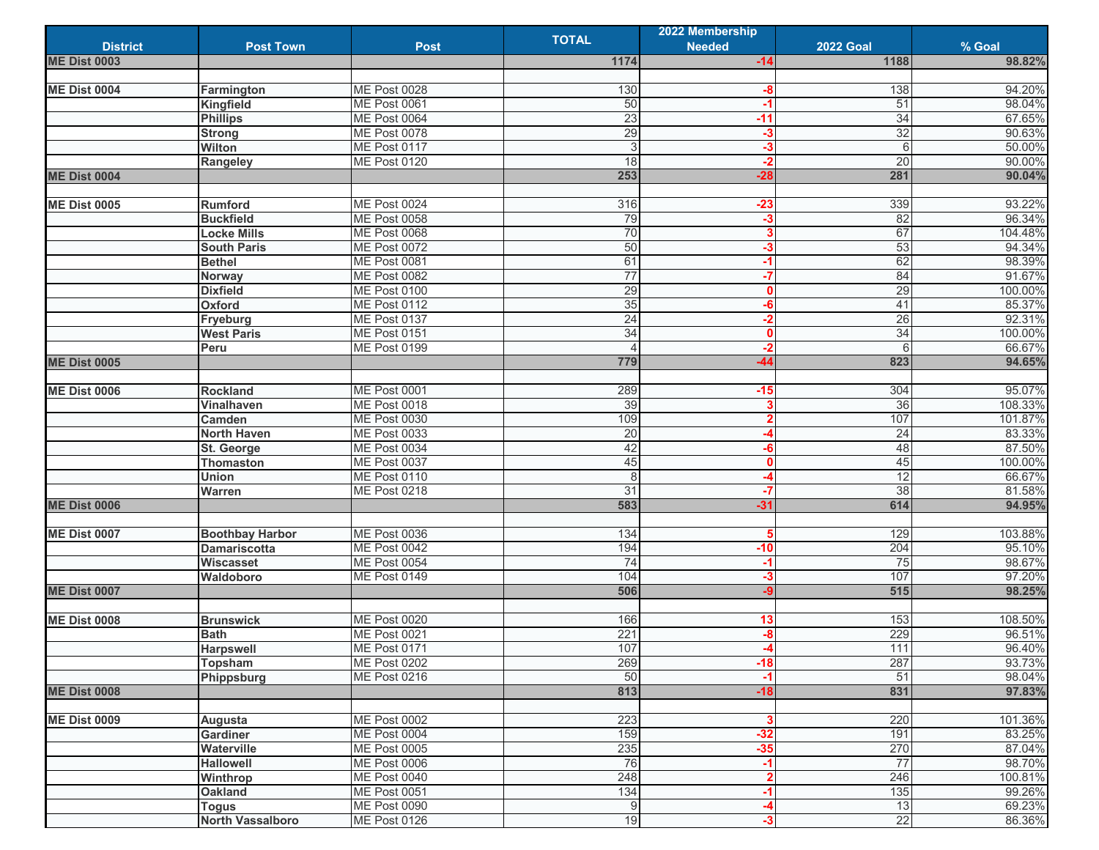|                     |                         |                     | <b>TOTAL</b>   | 2022 Membership |                  |                   |
|---------------------|-------------------------|---------------------|----------------|-----------------|------------------|-------------------|
| <b>District</b>     | <b>Post Town</b>        | <b>Post</b>         |                | <b>Needed</b>   | <b>2022 Goal</b> | % Goal            |
| <b>ME Dist 0003</b> |                         |                     | 1174           | $-14$           | 1188             | 98.82%            |
|                     |                         |                     |                |                 |                  |                   |
| <b>ME Dist 0004</b> | Farmington              | ME Post 0028        | 130            | -8              | 138              | 94.20%            |
|                     | Kingfield               | ME Post 0061        | 50             | $-1$            | 51               | 98.04%            |
|                     | <b>Phillips</b>         | ME Post 0064        | 23             | $-11$           | 34               | 67.65%            |
|                     | <b>Strong</b>           | ME Post 0078        | 29             | $-3$            | 32               | 90.63%            |
|                     | <b>Wilton</b>           | ME Post 0117        | 3              | $-3$            | 6                | 50.00%            |
|                     | Rangeley                | <b>ME Post 0120</b> | 18             | $-2$            | 20               | 90.00%            |
| <b>ME Dist 0004</b> |                         |                     | 253            | $-28$           | 281              | 90.04%            |
|                     |                         |                     |                |                 |                  |                   |
| <b>ME Dist 0005</b> | Rumford                 | ME Post 0024        | 316            | $-23$           | 339              | 93.22%            |
|                     | <b>Buckfield</b>        | ME Post 0058        | 79             | $-3$            | 82               | 96.34%            |
|                     | <b>Locke Mills</b>      | ME Post 0068        | 70             | 3               | 67               | 104.48%           |
|                     | <b>South Paris</b>      | ME Post 0072        | 50             | -3              | 53               | 94.34%            |
|                     | <b>Bethel</b>           | ME Post 0081        | 61             | $-1$            | 62               | 98.39%            |
|                     | Norway                  | <b>ME Post 0082</b> | 77             | $-7$            | 84               | 91.67%            |
|                     | <b>Dixfield</b>         | ME Post 0100        | 29             | $\mathbf{0}$    | 29               | 100.00%           |
|                     | Oxford                  | <b>ME Post 0112</b> | 35             | -6              | 41               | 85.37%            |
|                     | Fryeburg                | ME Post 0137        | 24             | $-2$            | 26               | 92.31%            |
|                     | <b>West Paris</b>       | <b>ME Post 0151</b> | 34             | $\mathbf{0}$    | 34               | 100.00%           |
|                     | Peru                    | <b>ME Post 0199</b> |                | $-2$            | $6\overline{6}$  | 66.67%            |
| <b>ME Dist 0005</b> |                         |                     | 779            | -44             | 823              | 94.65%            |
|                     |                         |                     |                |                 |                  |                   |
| <b>ME Dist 0006</b> | <b>Rockland</b>         | ME Post 0001        | 289            | $-15$           | 304              | 95.07%            |
|                     | Vinalhaven              | ME Post 0018        | 39             | 3               | 36               | 108.33%           |
|                     | Camden                  | <b>ME Post 0030</b> | 109            | $\overline{2}$  | 107              | 101.87%           |
|                     | <b>North Haven</b>      | ME Post 0033        | 20             | -4              | 24               | 83.33%            |
|                     | St. George              | ME Post 0034        | 42             | -6              | 48               | 87.50%            |
|                     | <b>Thomaston</b>        | ME Post 0037        | 45             | $\mathbf{0}$    | 45               | 100.00%           |
|                     | <b>Union</b>            | ME Post 0110        | 8              |                 | 12               | 66.67%            |
|                     | Warren                  | <b>ME Post 0218</b> | 31             | $-7$            | 38               | 81.58%            |
| <b>ME Dist 0006</b> |                         |                     | 583            | $-31$           | 614              | 94.95%            |
|                     |                         |                     |                |                 |                  |                   |
| <b>ME Dist 0007</b> | <b>Boothbay Harbor</b>  | <b>ME Post 0036</b> | 134            | 5               | 129              | 103.88%           |
|                     | <b>Damariscotta</b>     | ME Post 0042        | 194            | $-10$           | 204              | 95.10%            |
|                     | Wiscasset               | ME Post 0054        | 74             | $-1$            | 75               | 98.67%            |
|                     | Waldoboro               | <b>ME Post 0149</b> | 104            | $-3$            | 107              | 97.20%            |
| <b>ME Dist 0007</b> |                         |                     | 506            | $-9$            | 515              | 98.25%            |
|                     |                         |                     |                |                 |                  |                   |
| <b>ME Dist 0008</b> | <b>Brunswick</b>        | <b>ME Post 0020</b> | 166            | 13              | 153              | 108.50%           |
|                     | <b>Bath</b>             | <b>ME Post 0021</b> | 221            | -8              | 229              | 96.51%            |
|                     | <b>Harpswell</b>        | ME Post 0171        | 107            |                 | 111              | 96.40%            |
|                     | Topsham                 | <b>ME Post 0202</b> | 269            | $-18$           | 287              | 93.73%            |
|                     |                         | <b>ME Post 0216</b> | 50             |                 | 51               | 98.04%            |
| <b>ME Dist 0008</b> | Phippsburg              |                     | 813            | $-1$<br>$-18$   | 831              | 97.83%            |
|                     |                         |                     |                |                 |                  |                   |
| <b>ME Dist 0009</b> |                         | <b>ME Post 0002</b> | 223            | 3               | 220              |                   |
|                     | Augusta                 | ME Post 0004        | 159            | $-32$           | 191              | 101.36%<br>83.25% |
|                     | Gardiner                |                     |                |                 |                  |                   |
|                     | Waterville              | <b>ME Post 0005</b> | 235            | $-35$           | 270              | 87.04%            |
|                     | <b>Hallowell</b>        | <b>ME Post 0006</b> | 76             | $-1$            | 77               | 98.70%            |
|                     | Winthrop                | <b>ME Post 0040</b> | 248            | $\mathbf{2}$    | 246              | 100.81%           |
|                     | Oakland                 | <b>ME Post 0051</b> | 134            | $-1$            | 135              | 99.26%            |
|                     | <b>Togus</b>            | <b>ME Post 0090</b> | $\overline{9}$ | -4              | 13               | 69.23%            |
|                     | <b>North Vassalboro</b> | ME Post 0126        | 19             | $-3$            | 22               | 86.36%            |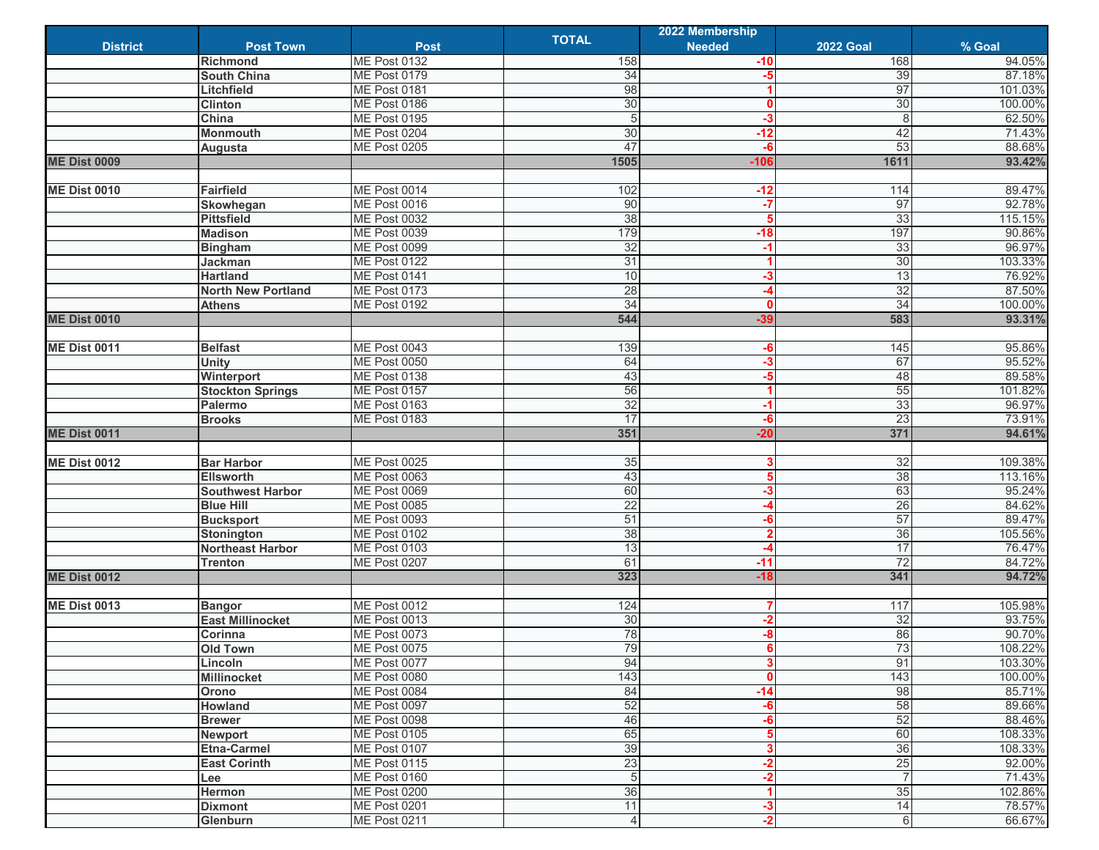|                     |                                      |                                            |                | 2022 Membership |                      |         |
|---------------------|--------------------------------------|--------------------------------------------|----------------|-----------------|----------------------|---------|
| <b>District</b>     | <b>Post Town</b>                     | <b>Post</b>                                | <b>TOTAL</b>   | <b>Needed</b>   | <b>2022 Goal</b>     | % Goal  |
|                     | <b>Richmond</b>                      | <b>ME Post 0132</b>                        | 158            | -10             | 168                  | 94.05%  |
|                     | <b>South China</b>                   | <b>ME Post 0179</b>                        | 34             | -5              | 39                   | 87.18%  |
|                     | Litchfield                           | ME Post 0181                               | 98             |                 | 97                   | 101.03% |
|                     | <b>Clinton</b>                       | ME Post 0186                               | 30             | $\mathbf{0}$    | 30                   | 100.00% |
|                     | China                                | <b>ME Post 0195</b>                        | 5              | $-3$            | 8                    | 62.50%  |
|                     | <b>Monmouth</b>                      | ME Post 0204                               | 30             | $-12$           | 42                   | 71.43%  |
|                     | Augusta                              | <b>ME Post 0205</b>                        | 47             | $-6$            | 53                   | 88.68%  |
| <b>ME Dist 0009</b> |                                      |                                            | 1505           | $-106$          | 1611                 | 93.42%  |
|                     |                                      |                                            |                |                 |                      |         |
| <b>ME Dist 0010</b> | <b>Fairfield</b>                     | ME Post 0014                               | 102            | $-12$           | 114                  | 89.47%  |
|                     | Skowhegan                            | ME Post 0016                               | 90             | $-7$            | 97                   | 92.78%  |
|                     | <b>Pittsfield</b>                    | <b>ME Post 0032</b>                        | 38             | 5               | 33                   | 115.15% |
|                     | <b>Madison</b>                       | ME Post 0039                               | 179            | $-18$           | 197                  | 90.86%  |
|                     | <b>Bingham</b>                       | ME Post 0099                               | 32             | $-1$            | 33                   | 96.97%  |
|                     | Jackman                              | <b>ME Post 0122</b>                        | 31             |                 | 30                   | 103.33% |
|                     | <b>Hartland</b>                      | ME Post 0141                               | 10             | -3              | 13                   | 76.92%  |
|                     | <b>North New Portland</b>            | ME Post 0173                               | 28             |                 | 32                   | 87.50%  |
|                     | <b>Athens</b>                        | <b>ME Post 0192</b>                        | 34             | $\mathbf{0}$    | 34                   | 100.00% |
| <b>ME Dist 0010</b> |                                      |                                            | 544            | $-39$           | 583                  | 93.31%  |
|                     |                                      |                                            |                |                 |                      |         |
| <b>ME Dist 0011</b> | <b>Belfast</b>                       | ME Post 0043                               | 139            | -6              | 145                  | 95.86%  |
|                     | <b>Unity</b>                         | <b>ME Post 0050</b>                        | 64             | $-3$            | 67                   | 95.52%  |
|                     | Winterport                           | ME Post 0138                               | 43             | $-5$            | 48                   | 89.58%  |
|                     | <b>Stockton Springs</b>              | <b>ME Post 0157</b>                        | 56             |                 | 55                   | 101.82% |
|                     | Palermo                              | ME Post 0163                               | 32             | -1              | 33                   | 96.97%  |
|                     | <b>Brooks</b>                        | ME Post 0183                               | 17             | -6              | 23                   | 73.91%  |
| <b>ME Dist 0011</b> |                                      |                                            | 351            | $-20$           | 371                  | 94.61%  |
|                     |                                      |                                            |                |                 |                      |         |
| <b>ME Dist 0012</b> | <b>Bar Harbor</b>                    | <b>ME Post 0025</b>                        | 35             | 3               | 32                   | 109.38% |
|                     | <b>Ellsworth</b>                     | ME Post 0063                               | 43             | 5               | 38                   | 113.16% |
|                     | <b>Southwest Harbor</b>              | ME Post 0069                               | 60             | -3              | 63                   | 95.24%  |
|                     | <b>Blue Hill</b>                     | <b>ME Post 0085</b>                        | 22             | -4              | 26                   | 84.62%  |
|                     | <b>Bucksport</b>                     | ME Post 0093                               | 51             | -6              | 57                   | 89.47%  |
|                     | Stonington                           | <b>ME Post 0102</b>                        | 38             | $\overline{2}$  | 36                   | 105.56% |
|                     | <b>Northeast Harbor</b>              | <b>ME Post 0103</b>                        | 13             |                 | 17                   | 76.47%  |
|                     | <b>Trenton</b>                       | <b>ME Post 0207</b>                        | 61             | $-11$           | $\overline{72}$      | 84.72%  |
| <b>ME Dist 0012</b> |                                      |                                            | 323            | $-18$           | 341                  | 94.72%  |
|                     |                                      |                                            |                |                 |                      |         |
| <b>ME Dist 0013</b> | <b>Bangor</b>                        | ME Post 0012                               | 124            |                 | 117                  | 105.98% |
|                     | <b>East Millinocket</b>              | <b>ME Post 0013</b>                        | 30             | $-2$            | 32                   | 93.75%  |
|                     | Corinna                              | <b>ME Post 0073</b>                        | 78             | $-8$            | 86                   | 90.70%  |
|                     | <b>Old Town</b>                      | ME Post 0075                               | 79             |                 | 73                   | 108.22% |
|                     | Lincoln                              | <b>ME Post 0077</b>                        | 94             | 3               | 91                   | 103.30% |
|                     | <b>Millinocket</b>                   | <b>ME Post 0080</b>                        | 143            | $\mathbf 0$     | 143                  | 100.00% |
|                     | Orono                                | ME Post 0084                               | 84             | $-14$           | 98                   | 85.71%  |
|                     |                                      | ME Post 0097                               | 52             | -6              | 58                   | 89.66%  |
|                     | Howland<br><b>Brewer</b>             | <b>ME Post 0098</b>                        | 46             | $-6$            | 52                   | 88.46%  |
|                     |                                      | <b>ME Post 0105</b>                        | 65             | 5               | 60                   | 108.33% |
|                     | <b>Newport</b><br><b>Etna-Carmel</b> |                                            | 39             | 3               | 36                   |         |
|                     |                                      | <b>ME Post 0107</b><br><b>ME Post 0115</b> |                |                 |                      | 108.33% |
|                     | <b>East Corinth</b>                  |                                            | 23             | $-2$            | 25<br>$\overline{7}$ | 92.00%  |
|                     | Lee                                  | ME Post 0160                               | 5              | $-2$            |                      | 71.43%  |
|                     | Hermon                               | <b>ME Post 0200</b>                        | 36             |                 | 35                   | 102.86% |
|                     | <b>Dixmont</b>                       | <b>ME Post 0201</b>                        | 11             | $-3$            | 14                   | 78.57%  |
|                     | Glenburn                             | ME Post 0211                               | $\overline{4}$ | $-2$            | 6                    | 66.67%  |